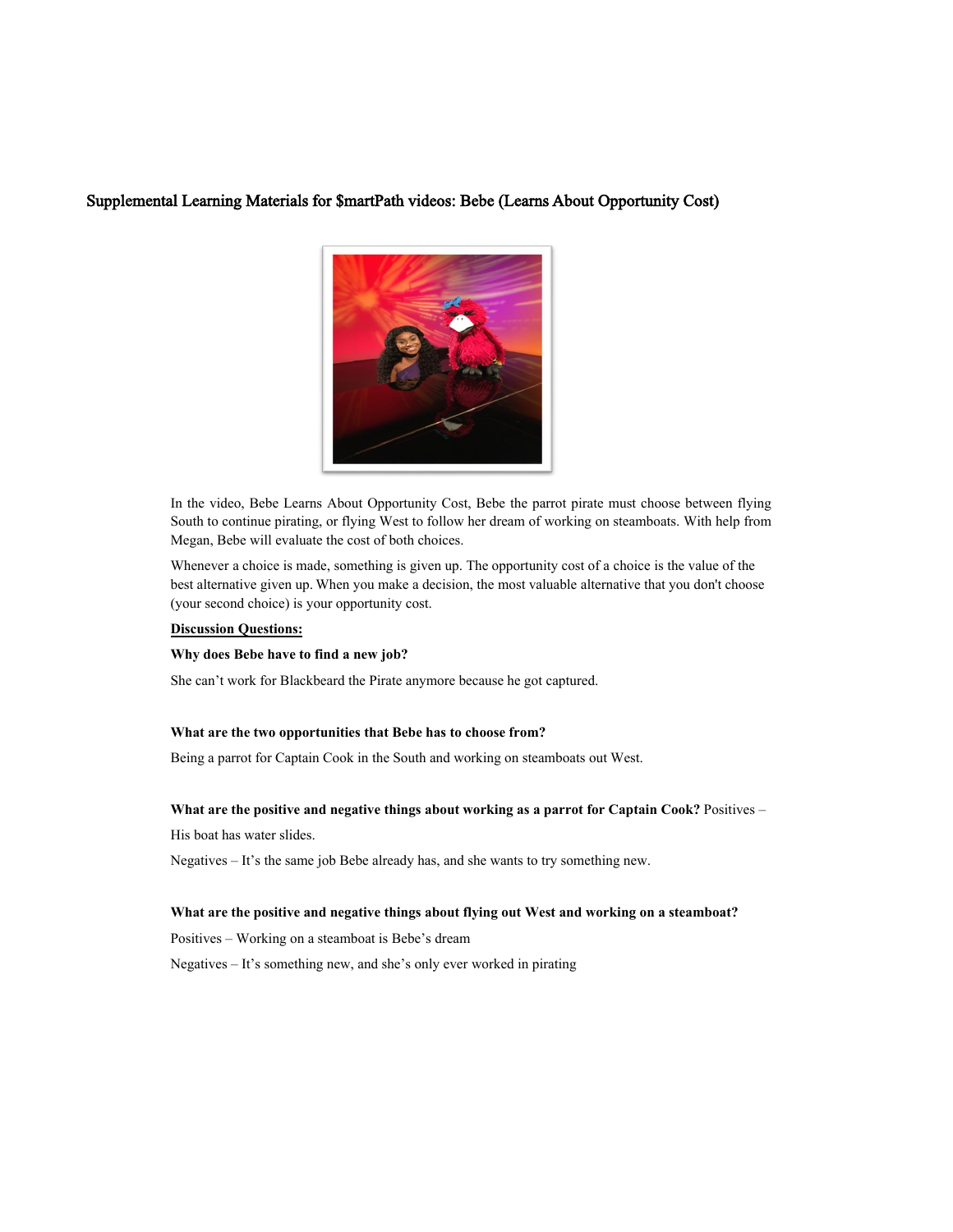### Supplemental Learning Materials for \$martPath videos: Bebe (Learns About Opportunity Cost)



In the video, Bebe Learns About Opportunity Cost, Bebe the parrot pirate must choose between flying South to continue pirating, or flying West to follow her dream of working on steamboats. With help from Megan, Bebe will evaluate the cost of both choices.

Whenever a choice is made, something is given up. The opportunity cost of a choice is the value of the best alternative given up. When you make a decision, the most valuable alternative that you don't choose (your second choice) is your opportunity cost.

### **Discussion Questions:**

#### **Why does Bebe have to find a new job?**

She can't work for Blackbeard the Pirate anymore because he got captured.

#### **What are the two opportunities that Bebe has to choose from?**

Being a parrot for Captain Cook in the South and working on steamboats out West.

### **What are the positive and negative things about working as a parrot for Captain Cook?** Positives –

His boat has water slides.

Negatives – It's the same job Bebe already has, and she wants to try something new.

### **What are the positive and negative things about flying out West and working on a steamboat?**

Positives – Working on a steamboat is Bebe's dream

Negatives – It's something new, and she's only ever worked in pirating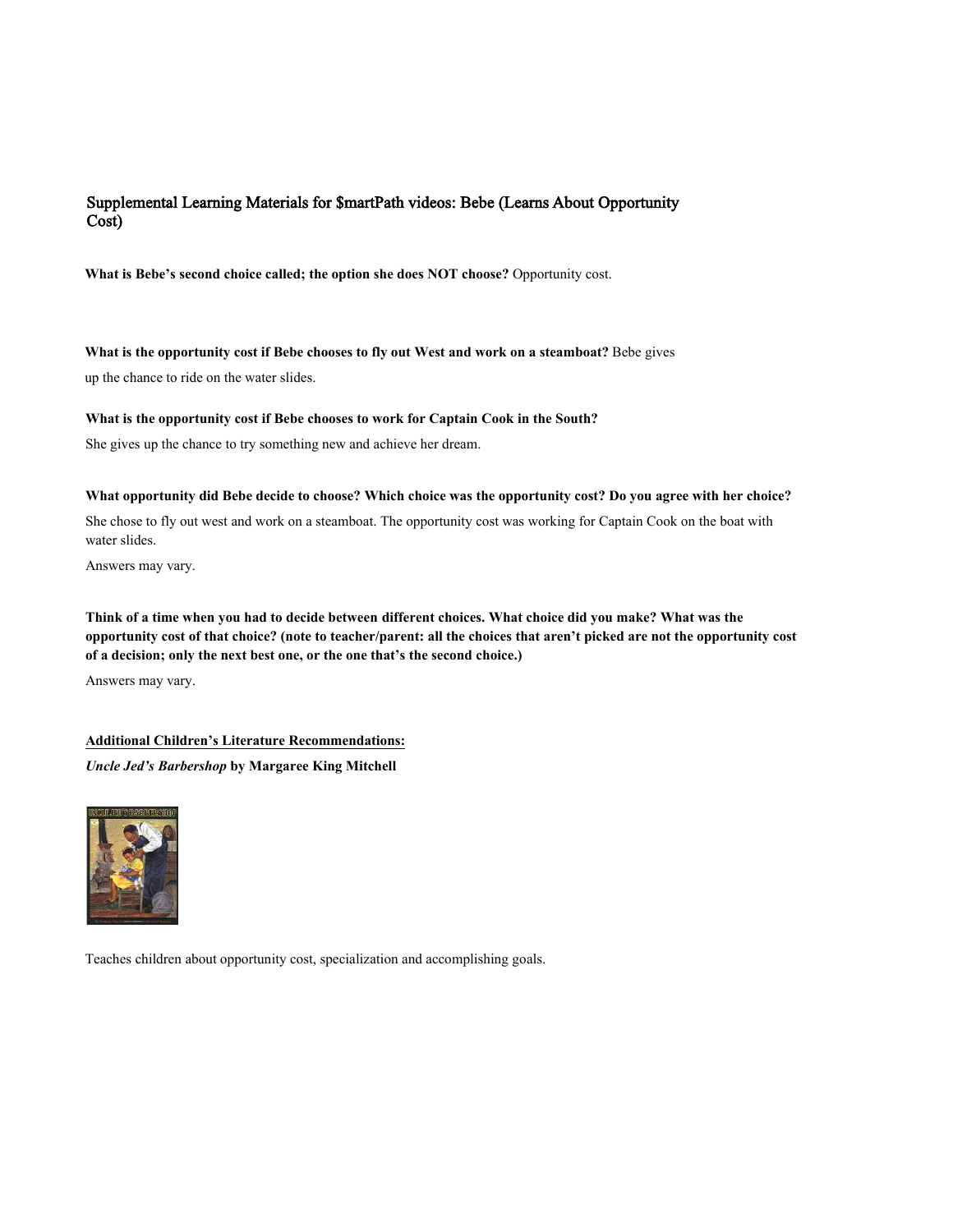## Supplemental Learning Materials for \$martPath videos: Bebe (Learns About Opportunity Cost)

**What is Bebe's second choice called; the option she does NOT choose?** Opportunity cost.

**What is the opportunity cost if Bebe chooses to fly out West and work on a steamboat?** Bebe gives

up the chance to ride on the water slides.

### **What is the opportunity cost if Bebe chooses to work for Captain Cook in the South?**

She gives up the chance to try something new and achieve her dream.

### **What opportunity did Bebe decide to choose? Which choice was the opportunity cost? Do you agree with her choice?**

She chose to fly out west and work on a steamboat. The opportunity cost was working for Captain Cook on the boat with water slides.

Answers may vary.

**Think of a time when you had to decide between different choices. What choice did you make? What was the opportunity cost of that choice? (note to teacher/parent: all the choices that aren't picked are not the opportunity cost of a decision; only the next best one, or the one that's the second choice.)** 

Answers may vary.

### **Additional Children's Literature Recommendations:**

*Uncle Jed's Barbershop* **by Margaree King Mitchell**



Teaches children about opportunity cost, specialization and accomplishing goals.